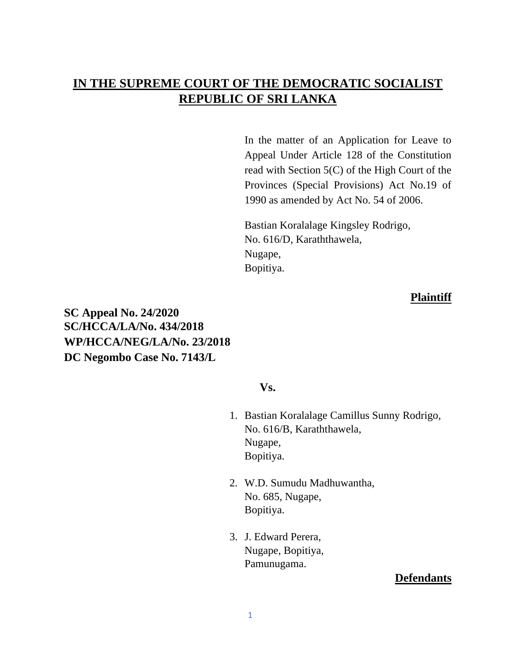# **IN THE SUPREME COURT OF THE DEMOCRATIC SOCIALIST REPUBLIC OF SRI LANKA**

In the matter of an Application for Leave to Appeal Under Article 128 of the Constitution read with Section 5(C) of the High Court of the Provinces (Special Provisions) Act No.19 of 1990 as amended by Act No. 54 of 2006.

Bastian Koralalage Kingsley Rodrigo, No. 616/D, Karaththawela, Nugape, Bopitiya.

#### **Plaintiff**

**SC Appeal No. 24/2020 SC/HCCA/LA/No. 434/2018 WP/HCCA/NEG/LA/No. 23/2018 DC Negombo Case No. 7143/L**

#### **Vs.**

- 1. Bastian Koralalage Camillus Sunny Rodrigo, No. 616/B, Karaththawela, Nugape, Bopitiya.
- 2. W.D. Sumudu Madhuwantha, No. 685, Nugape, Bopitiya.
- 3. J. Edward Perera, Nugape, Bopitiya, Pamunugama.

## **Defendants**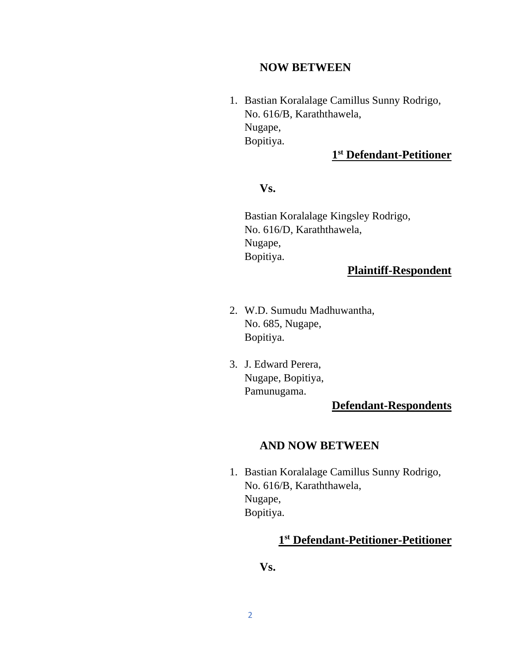#### **NOW BETWEEN**

1. Bastian Koralalage Camillus Sunny Rodrigo, No. 616/B, Karaththawela, Nugape, Bopitiya.

#### **1 st Defendant-Petitioner**

## **Vs.**

Bastian Koralalage Kingsley Rodrigo, No. 616/D, Karaththawela, Nugape, Bopitiya.

## **Plaintiff-Respondent**

- 2. W.D. Sumudu Madhuwantha, No. 685, Nugape, Bopitiya.
- 3. J. Edward Perera, Nugape, Bopitiya, Pamunugama.

## **Defendant-Respondents**

## **AND NOW BETWEEN**

1. Bastian Koralalage Camillus Sunny Rodrigo, No. 616/B, Karaththawela, Nugape, Bopitiya.

## **1 st Defendant-Petitioner-Petitioner**

## **Vs.**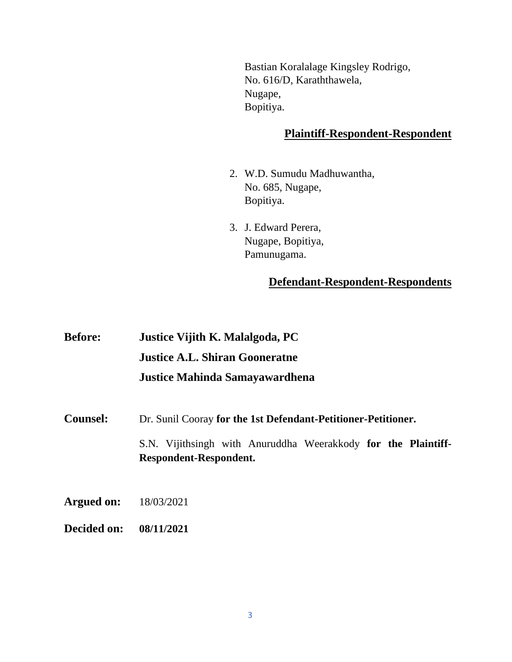Bastian Koralalage Kingsley Rodrigo, No. 616/D, Karaththawela, Nugape, Bopitiya.

#### **Plaintiff-Respondent-Respondent**

- 2. W.D. Sumudu Madhuwantha, No. 685, Nugape, Bopitiya.
- 3. J. Edward Perera, Nugape, Bopitiya, Pamunugama.

## **Defendant-Respondent-Respondents**

**Before: Justice Vijith K. Malalgoda, PC Justice A.L. Shiran Gooneratne Justice Mahinda Samayawardhena Counsel:** Dr. Sunil Cooray **for the 1st Defendant-Petitioner-Petitioner.** S.N. Vijithsingh with Anuruddha Weerakkody **for the Plaintiff-Respondent-Respondent. Argued on:** 18/03/2021 **Decided on: 08/11/2021**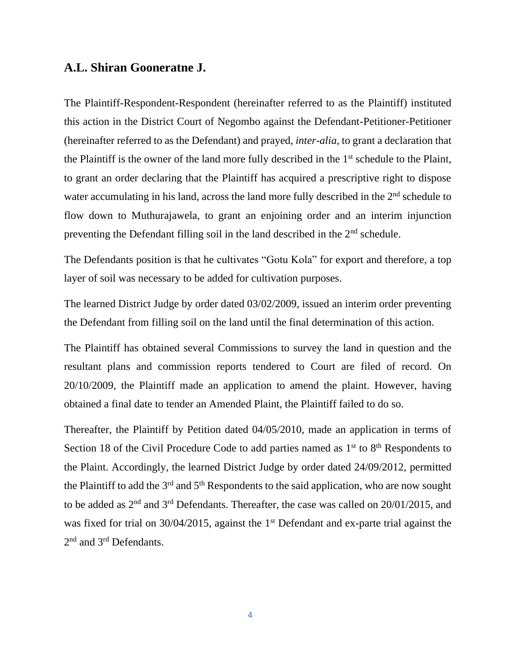#### **A.L. Shiran Gooneratne J.**

The Plaintiff-Respondent-Respondent (hereinafter referred to as the Plaintiff) instituted this action in the District Court of Negombo against the Defendant-Petitioner-Petitioner (hereinafter referred to as the Defendant) and prayed, *inter-alia*, to grant a declaration that the Plaintiff is the owner of the land more fully described in the  $1<sup>st</sup>$  schedule to the Plaint, to grant an order declaring that the Plaintiff has acquired a prescriptive right to dispose water accumulating in his land, across the land more fully described in the 2<sup>nd</sup> schedule to flow down to Muthurajawela, to grant an enjoining order and an interim injunction preventing the Defendant filling soil in the land described in the 2<sup>nd</sup> schedule.

The Defendants position is that he cultivates "Gotu Kola" for export and therefore, a top layer of soil was necessary to be added for cultivation purposes.

The learned District Judge by order dated 03/02/2009, issued an interim order preventing the Defendant from filling soil on the land until the final determination of this action.

The Plaintiff has obtained several Commissions to survey the land in question and the resultant plans and commission reports tendered to Court are filed of record. On 20/10/2009, the Plaintiff made an application to amend the plaint. However, having obtained a final date to tender an Amended Plaint, the Plaintiff failed to do so.

Thereafter, the Plaintiff by Petition dated 04/05/2010, made an application in terms of Section 18 of the Civil Procedure Code to add parties named as  $1<sup>st</sup>$  to  $8<sup>th</sup>$  Respondents to the Plaint. Accordingly, the learned District Judge by order dated 24/09/2012, permitted the Plaintiff to add the  $3<sup>rd</sup>$  and  $5<sup>th</sup>$  Respondents to the said application, who are now sought to be added as 2<sup>nd</sup> and 3<sup>rd</sup> Defendants. Thereafter, the case was called on 20/01/2015, and was fixed for trial on 30/04/2015, against the 1<sup>st</sup> Defendant and ex-parte trial against the 2<sup>nd</sup> and 3<sup>rd</sup> Defendants.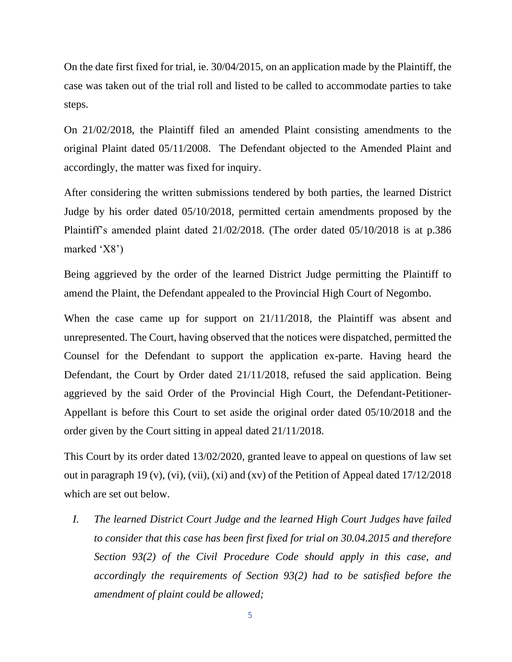On the date first fixed for trial, ie. 30/04/2015, on an application made by the Plaintiff, the case was taken out of the trial roll and listed to be called to accommodate parties to take steps.

On 21/02/2018, the Plaintiff filed an amended Plaint consisting amendments to the original Plaint dated 05/11/2008. The Defendant objected to the Amended Plaint and accordingly, the matter was fixed for inquiry.

After considering the written submissions tendered by both parties, the learned District Judge by his order dated 05/10/2018, permitted certain amendments proposed by the Plaintiff's amended plaint dated 21/02/2018. (The order dated 05/10/2018 is at p.386 marked 'X8')

Being aggrieved by the order of the learned District Judge permitting the Plaintiff to amend the Plaint, the Defendant appealed to the Provincial High Court of Negombo.

When the case came up for support on 21/11/2018, the Plaintiff was absent and unrepresented. The Court, having observed that the notices were dispatched, permitted the Counsel for the Defendant to support the application ex-parte. Having heard the Defendant, the Court by Order dated 21/11/2018, refused the said application. Being aggrieved by the said Order of the Provincial High Court, the Defendant-Petitioner-Appellant is before this Court to set aside the original order dated 05/10/2018 and the order given by the Court sitting in appeal dated 21/11/2018.

This Court by its order dated 13/02/2020, granted leave to appeal on questions of law set out in paragraph 19 (v), (vi), (vii), (xi) and (xv) of the Petition of Appeal dated 17/12/2018 which are set out below.

*I. The learned District Court Judge and the learned High Court Judges have failed to consider that this case has been first fixed for trial on 30.04.2015 and therefore Section 93(2) of the Civil Procedure Code should apply in this case, and accordingly the requirements of Section 93(2) had to be satisfied before the amendment of plaint could be allowed;*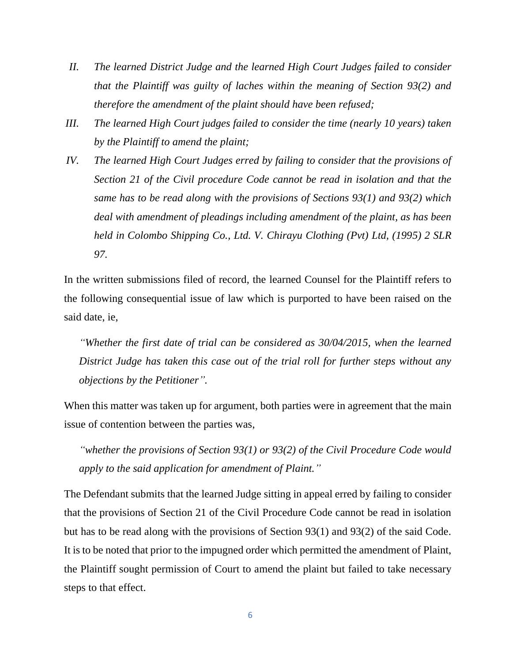- *II. The learned District Judge and the learned High Court Judges failed to consider that the Plaintiff was guilty of laches within the meaning of Section 93(2) and therefore the amendment of the plaint should have been refused;*
- *III. The learned High Court judges failed to consider the time (nearly 10 years) taken by the Plaintiff to amend the plaint;*
- *IV. The learned High Court Judges erred by failing to consider that the provisions of Section 21 of the Civil procedure Code cannot be read in isolation and that the same has to be read along with the provisions of Sections 93(1) and 93(2) which deal with amendment of pleadings including amendment of the plaint, as has been held in Colombo Shipping Co., Ltd. V. Chirayu Clothing (Pvt) Ltd, (1995) 2 SLR 97.*

In the written submissions filed of record, the learned Counsel for the Plaintiff refers to the following consequential issue of law which is purported to have been raised on the said date, ie,

*"Whether the first date of trial can be considered as 30/04/2015, when the learned District Judge has taken this case out of the trial roll for further steps without any objections by the Petitioner".* 

When this matter was taken up for argument, both parties were in agreement that the main issue of contention between the parties was,

*"whether the provisions of Section 93(1) or 93(2) of the Civil Procedure Code would apply to the said application for amendment of Plaint."*

The Defendant submits that the learned Judge sitting in appeal erred by failing to consider that the provisions of Section 21 of the Civil Procedure Code cannot be read in isolation but has to be read along with the provisions of Section 93(1) and 93(2) of the said Code. It is to be noted that prior to the impugned order which permitted the amendment of Plaint, the Plaintiff sought permission of Court to amend the plaint but failed to take necessary steps to that effect.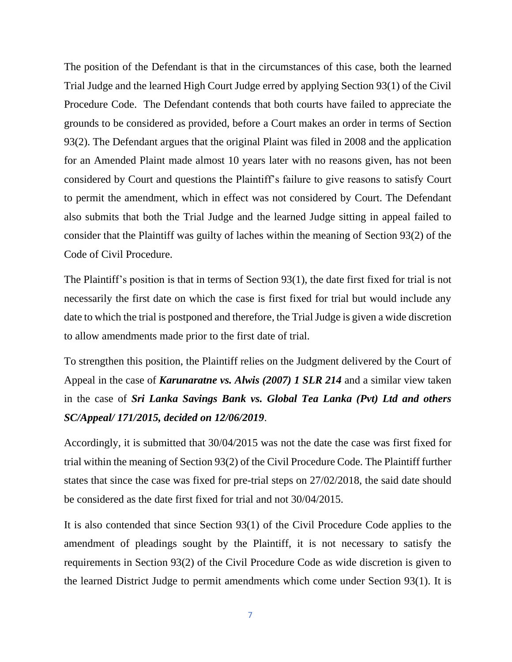The position of the Defendant is that in the circumstances of this case, both the learned Trial Judge and the learned High Court Judge erred by applying Section 93(1) of the Civil Procedure Code. The Defendant contends that both courts have failed to appreciate the grounds to be considered as provided, before a Court makes an order in terms of Section 93(2). The Defendant argues that the original Plaint was filed in 2008 and the application for an Amended Plaint made almost 10 years later with no reasons given, has not been considered by Court and questions the Plaintiff's failure to give reasons to satisfy Court to permit the amendment, which in effect was not considered by Court. The Defendant also submits that both the Trial Judge and the learned Judge sitting in appeal failed to consider that the Plaintiff was guilty of laches within the meaning of Section 93(2) of the Code of Civil Procedure.

The Plaintiff's position is that in terms of Section 93(1), the date first fixed for trial is not necessarily the first date on which the case is first fixed for trial but would include any date to which the trial is postponed and therefore, the Trial Judge is given a wide discretion to allow amendments made prior to the first date of trial.

To strengthen this position, the Plaintiff relies on the Judgment delivered by the Court of Appeal in the case of *Karunaratne vs. Alwis (2007) 1 SLR 214* and a similar view taken in the case of *Sri Lanka Savings Bank vs. Global Tea Lanka (Pvt) Ltd and others SC/Appeal/ 171/2015, decided on 12/06/2019*.

Accordingly, it is submitted that 30/04/2015 was not the date the case was first fixed for trial within the meaning of Section 93(2) of the Civil Procedure Code. The Plaintiff further states that since the case was fixed for pre-trial steps on 27/02/2018, the said date should be considered as the date first fixed for trial and not 30/04/2015.

It is also contended that since Section 93(1) of the Civil Procedure Code applies to the amendment of pleadings sought by the Plaintiff, it is not necessary to satisfy the requirements in Section 93(2) of the Civil Procedure Code as wide discretion is given to the learned District Judge to permit amendments which come under Section 93(1). It is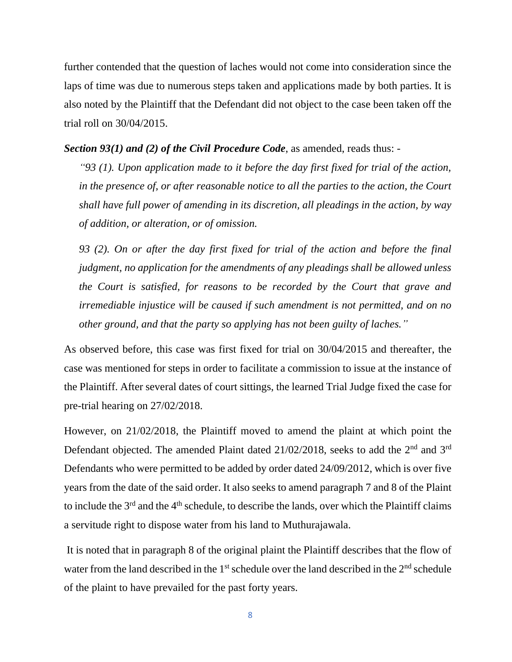further contended that the question of laches would not come into consideration since the laps of time was due to numerous steps taken and applications made by both parties. It is also noted by the Plaintiff that the Defendant did not object to the case been taken off the trial roll on 30/04/2015.

#### *Section 93(1) and (2) of the Civil Procedure Code*, as amended, reads thus: -

*"93 (1). Upon application made to it before the day first fixed for trial of the action, in the presence of, or after reasonable notice to all the parties to the action, the Court shall have full power of amending in its discretion, all pleadings in the action, by way of addition, or alteration, or of omission.*

*93 (2). On or after the day first fixed for trial of the action and before the final judgment, no application for the amendments of any pleadings shall be allowed unless the Court is satisfied, for reasons to be recorded by the Court that grave and irremediable injustice will be caused if such amendment is not permitted, and on no other ground, and that the party so applying has not been guilty of laches."*

As observed before, this case was first fixed for trial on 30/04/2015 and thereafter, the case was mentioned for steps in order to facilitate a commission to issue at the instance of the Plaintiff. After several dates of court sittings, the learned Trial Judge fixed the case for pre-trial hearing on 27/02/2018.

However, on 21/02/2018, the Plaintiff moved to amend the plaint at which point the Defendant objected. The amended Plaint dated 21/02/2018, seeks to add the 2<sup>nd</sup> and 3<sup>rd</sup> Defendants who were permitted to be added by order dated 24/09/2012, which is over five years from the date of the said order. It also seeks to amend paragraph 7 and 8 of the Plaint to include the  $3<sup>rd</sup>$  and the  $4<sup>th</sup>$  schedule, to describe the lands, over which the Plaintiff claims a servitude right to dispose water from his land to Muthurajawala.

It is noted that in paragraph 8 of the original plaint the Plaintiff describes that the flow of water from the land described in the  $1<sup>st</sup>$  schedule over the land described in the  $2<sup>nd</sup>$  schedule of the plaint to have prevailed for the past forty years.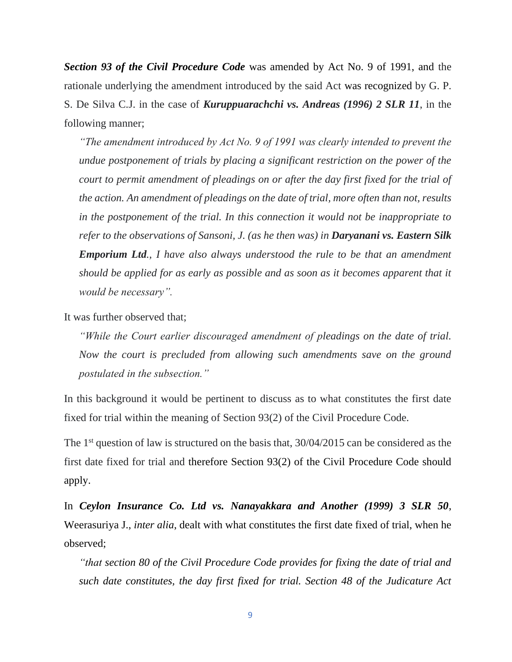*Section 93 of the Civil Procedure Code* was amended by Act No. 9 of 1991, and the rationale underlying the amendment introduced by the said Act was recognized by G. P. S. De Silva C.J. in the case of *Kuruppuarachchi vs. Andreas (1996) 2 SLR 11*, in the following manner;

*"The amendment introduced by Act No. 9 of 1991 was clearly intended to prevent the undue postponement of trials by placing a significant restriction on the power of the court to permit amendment of pleadings on or after the day first fixed for the trial of the action. An amendment of pleadings on the date of trial, more often than not, results in the postponement of the trial. In this connection it would not be inappropriate to refer to the observations of Sansoni, J. (as he then was) in Daryanani vs. Eastern Silk Emporium Ltd., I have also always understood the rule to be that an amendment should be applied for as early as possible and as soon as it becomes apparent that it would be necessary".* 

It was further observed that;

*"While the Court earlier discouraged amendment of pleadings on the date of trial. Now the court is precluded from allowing such amendments save on the ground postulated in the subsection."* 

In this background it would be pertinent to discuss as to what constitutes the first date fixed for trial within the meaning of Section 93(2) of the Civil Procedure Code.

The 1<sup>st</sup> question of law is structured on the basis that, 30/04/2015 can be considered as the first date fixed for trial and therefore Section 93(2) of the Civil Procedure Code should apply.

In *Ceylon Insurance Co. Ltd vs. Nanayakkara and Another (1999) 3 SLR 50*, Weerasuriya J., *inter alia*, dealt with what constitutes the first date fixed of trial, when he observed;

*"that section 80 of the Civil Procedure Code provides for fixing the date of trial and such date constitutes, the day first fixed for trial. Section 48 of the Judicature Act*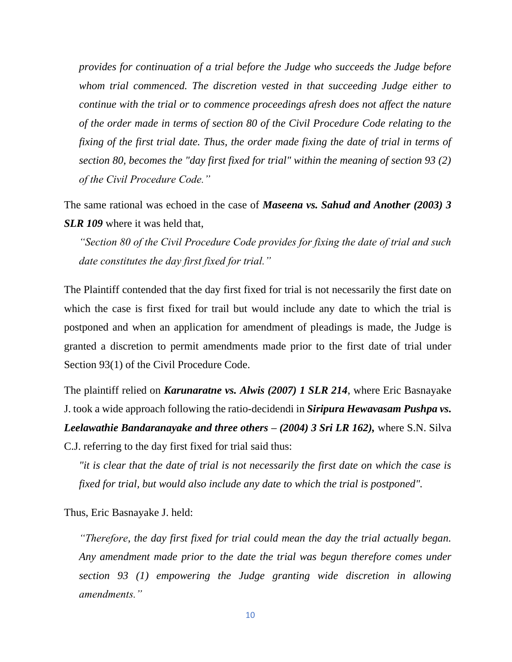*provides for continuation of a trial before the Judge who succeeds the Judge before whom trial commenced. The discretion vested in that succeeding Judge either to continue with the trial or to commence proceedings afresh does not affect the nature of the order made in terms of section 80 of the Civil Procedure Code relating to the fixing of the first trial date. Thus, the order made fixing the date of trial in terms of section 80, becomes the "day first fixed for trial" within the meaning of section 93 (2) of the Civil Procedure Code."*

The same rational was echoed in the case of *Maseena vs. Sahud and Another (2003) 3 SLR 109* where it was held that,

*"Section 80 of the Civil Procedure Code provides for fixing the date of trial and such date constitutes the day first fixed for trial."*

The Plaintiff contended that the day first fixed for trial is not necessarily the first date on which the case is first fixed for trail but would include any date to which the trial is postponed and when an application for amendment of pleadings is made, the Judge is granted a discretion to permit amendments made prior to the first date of trial under Section 93(1) of the Civil Procedure Code.

The plaintiff relied on *Karunaratne vs. Alwis (2007) 1 SLR 214*, where Eric Basnayake J. took a wide approach following the ratio-decidendi in *Siripura Hewavasam Pushpa vs. Leelawathie Bandaranayake and three others – (2004) 3 Sri LR 162),* where S.N. Silva C.J. referring to the day first fixed for trial said thus:

*"it is clear that the date of trial is not necessarily the first date on which the case is fixed for trial, but would also include any date to which the trial is postponed".* 

Thus, Eric Basnayake J. held:

*"Therefore, the day first fixed for trial could mean the day the trial actually began. Any amendment made prior to the date the trial was begun therefore comes under section 93 (1) empowering the Judge granting wide discretion in allowing amendments."*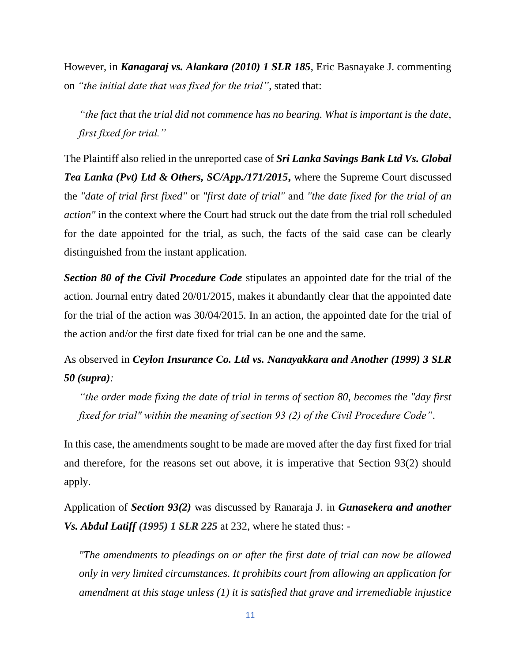However, in *Kanagaraj vs. Alankara (2010) 1 SLR 185*, Eric Basnayake J. commenting on *"the initial date that was fixed for the trial"*, stated that:

*"the fact that the trial did not commence has no bearing. What is important is the date, first fixed for trial."*

The Plaintiff also relied in the unreported case of *Sri Lanka Savings Bank Ltd Vs. Global Tea Lanka (Pvt) Ltd & Others, SC/App./171/2015***,** where the Supreme Court discussed the *"date of trial first fixed"* or *"first date of trial"* and *"the date fixed for the trial of an action"* in the context where the Court had struck out the date from the trial roll scheduled for the date appointed for the trial, as such, the facts of the said case can be clearly distinguished from the instant application.

*Section 80 of the Civil Procedure Code* stipulates an appointed date for the trial of the action. Journal entry dated 20/01/2015, makes it abundantly clear that the appointed date for the trial of the action was 30/04/2015. In an action, the appointed date for the trial of the action and/or the first date fixed for trial can be one and the same.

# As observed in *Ceylon Insurance Co. Ltd vs. Nanayakkara and Another (1999) 3 SLR 50 (supra):*

*"the order made fixing the date of trial in terms of section 80, becomes the "day first fixed for trial" within the meaning of section 93 (2) of the Civil Procedure Code"*.

In this case, the amendments sought to be made are moved after the day first fixed for trial and therefore, for the reasons set out above, it is imperative that Section 93(2) should apply.

Application of *Section 93(2)* was discussed by Ranaraja J. in *Gunasekera and another Vs. Abdul Latiff (1995) 1 SLR 225* at 232, where he stated thus: -

*"The amendments to pleadings on or after the first date of trial can now be allowed only in very limited circumstances. It prohibits court from allowing an application for amendment at this stage unless (1) it is satisfied that grave and irremediable injustice*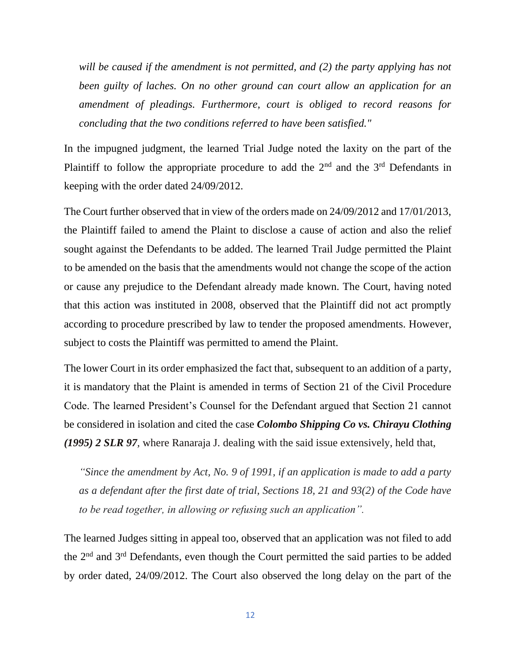*will be caused if the amendment is not permitted, and (2) the party applying has not been guilty of laches. On no other ground can court allow an application for an amendment of pleadings. Furthermore, court is obliged to record reasons for concluding that the two conditions referred to have been satisfied."* 

In the impugned judgment, the learned Trial Judge noted the laxity on the part of the Plaintiff to follow the appropriate procedure to add the 2<sup>nd</sup> and the 3<sup>rd</sup> Defendants in keeping with the order dated 24/09/2012.

The Court further observed that in view of the orders made on 24/09/2012 and 17/01/2013, the Plaintiff failed to amend the Plaint to disclose a cause of action and also the relief sought against the Defendants to be added. The learned Trail Judge permitted the Plaint to be amended on the basis that the amendments would not change the scope of the action or cause any prejudice to the Defendant already made known. The Court, having noted that this action was instituted in 2008, observed that the Plaintiff did not act promptly according to procedure prescribed by law to tender the proposed amendments. However, subject to costs the Plaintiff was permitted to amend the Plaint.

The lower Court in its order emphasized the fact that, subsequent to an addition of a party, it is mandatory that the Plaint is amended in terms of Section 21 of the Civil Procedure Code. The learned President's Counsel for the Defendant argued that Section 21 cannot be considered in isolation and cited the case *Colombo Shipping Co vs. Chirayu Clothing (1995) 2 SLR 97,* where Ranaraja J. dealing with the said issue extensively, held that,

*"Since the amendment by Act, No. 9 of 1991, if an application is made to add a party as a defendant after the first date of trial, Sections 18, 21 and 93(2) of the Code have to be read together, in allowing or refusing such an application".* 

The learned Judges sitting in appeal too, observed that an application was not filed to add the 2nd and 3rd Defendants, even though the Court permitted the said parties to be added by order dated, 24/09/2012. The Court also observed the long delay on the part of the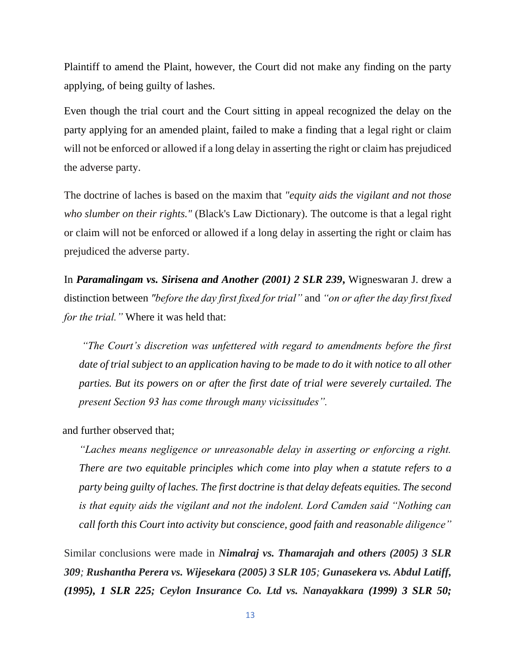Plaintiff to amend the Plaint, however, the Court did not make any finding on the party applying, of being guilty of lashes.

Even though the trial court and the Court sitting in appeal recognized the delay on the party applying for an amended plaint, failed to make a finding that a legal right or claim will not be enforced or allowed if a long delay in asserting the right or claim has prejudiced the adverse party.

The doctrine of laches is based on the maxim that *"equity aids the vigilant and not those who slumber on their rights."* (Black's Law Dictionary). The outcome is that a legal right or claim will not be enforced or allowed if a long delay in asserting the right or claim has prejudiced the adverse party.

In *Paramalingam vs. Sirisena and Another (2001) 2 SLR 239***,** Wigneswaran J. drew a distinction between *"before the day first fixed for trial"* and *"on or after the day first fixed for the trial."* Where it was held that:

*"The Court's discretion was unfettered with regard to amendments before the first date of trial subject to an application having to be made to do it with notice to all other parties. But its powers on or after the first date of trial were severely curtailed. The present Section 93 has come through many vicissitudes".*

and further observed that;

*"Laches means negligence or unreasonable delay in asserting or enforcing a right. There are two equitable principles which come into play when a statute refers to a party being guilty of laches. The first doctrine is that delay defeats equities. The second is that equity aids the vigilant and not the indolent. Lord Camden said "Nothing can call forth this Court into activity but conscience, good faith and reasonable diligence"*

Similar conclusions were made in *Nimalraj vs. Thamarajah and others (2005) 3 SLR 309; Rushantha Perera vs. Wijesekara (2005) 3 SLR 105; Gunasekera vs. Abdul Latiff, (1995), 1 SLR 225; Ceylon Insurance Co. Ltd vs. Nanayakkara (1999) 3 SLR 50;*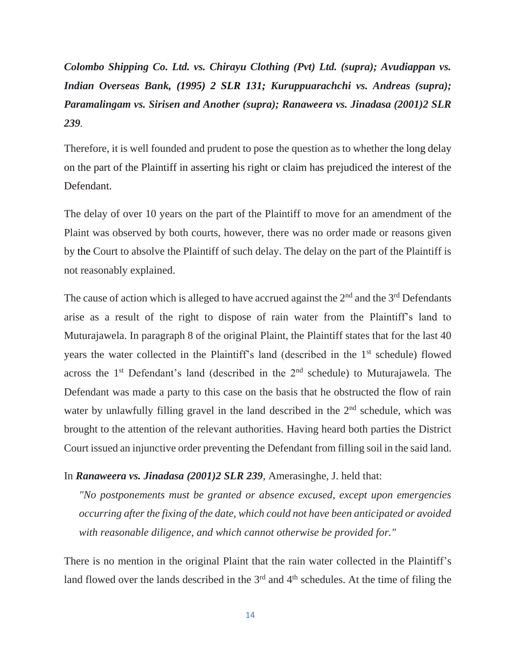*Colombo Shipping Co. Ltd. vs. Chirayu Clothing (Pvt) Ltd. (supra); Avudiappan vs. Indian Overseas Bank, (1995) 2 SLR 131; Kuruppuarachchi vs. Andreas (supra); Paramalingam vs. Sirisen and Another (supra); Ranaweera vs. Jinadasa (2001)2 SLR 239.*

Therefore, it is well founded and prudent to pose the question as to whether the long delay on the part of the Plaintiff in asserting his right or claim has prejudiced the interest of the Defendant.

The delay of over 10 years on the part of the Plaintiff to move for an amendment of the Plaint was observed by both courts, however, there was no order made or reasons given by the Court to absolve the Plaintiff of such delay. The delay on the part of the Plaintiff is not reasonably explained.

The cause of action which is alleged to have accrued against the  $2<sup>nd</sup>$  and the  $3<sup>rd</sup>$  Defendants arise as a result of the right to dispose of rain water from the Plaintiff's land to Muturajawela. In paragraph 8 of the original Plaint, the Plaintiff states that for the last 40 years the water collected in the Plaintiff's land (described in the 1<sup>st</sup> schedule) flowed across the  $1<sup>st</sup>$  Defendant's land (described in the  $2<sup>nd</sup>$  schedule) to Muturajawela. The Defendant was made a party to this case on the basis that he obstructed the flow of rain water by unlawfully filling gravel in the land described in the 2<sup>nd</sup> schedule, which was brought to the attention of the relevant authorities. Having heard both parties the District Court issued an injunctive order preventing the Defendant from filling soil in the said land.

#### In *Ranaweera vs. Jinadasa (2001)2 SLR 239,* Amerasinghe, J. held that:

*"No postponements must be granted or absence excused, except upon emergencies occurring after the fixing of the date, which could not have been anticipated or avoided with reasonable diligence, and which cannot otherwise be provided for."*

There is no mention in the original Plaint that the rain water collected in the Plaintiff's land flowed over the lands described in the  $3<sup>rd</sup>$  and  $4<sup>th</sup>$  schedules. At the time of filing the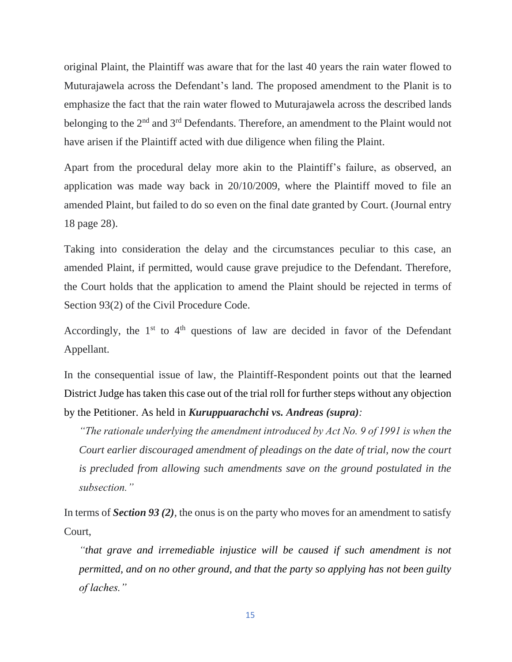original Plaint, the Plaintiff was aware that for the last 40 years the rain water flowed to Muturajawela across the Defendant's land. The proposed amendment to the Planit is to emphasize the fact that the rain water flowed to Muturajawela across the described lands belonging to the 2<sup>nd</sup> and 3<sup>rd</sup> Defendants. Therefore, an amendment to the Plaint would not have arisen if the Plaintiff acted with due diligence when filing the Plaint.

Apart from the procedural delay more akin to the Plaintiff's failure, as observed, an application was made way back in 20/10/2009, where the Plaintiff moved to file an amended Plaint, but failed to do so even on the final date granted by Court. (Journal entry 18 page 28).

Taking into consideration the delay and the circumstances peculiar to this case, an amended Plaint, if permitted, would cause grave prejudice to the Defendant. Therefore, the Court holds that the application to amend the Plaint should be rejected in terms of Section 93(2) of the Civil Procedure Code.

Accordingly, the  $1<sup>st</sup>$  to  $4<sup>th</sup>$  questions of law are decided in favor of the Defendant Appellant.

In the consequential issue of law, the Plaintiff-Respondent points out that the learned District Judge has taken this case out of the trial roll for further steps without any objection by the Petitioner. As held in *Kuruppuarachchi vs. Andreas (supra):*

*"The rationale underlying the amendment introduced by Act No. 9 of 1991 is when the Court earlier discouraged amendment of pleadings on the date of trial, now the court is precluded from allowing such amendments save on the ground postulated in the subsection."*

In terms of *Section 93 (2),* the onus is on the party who moves for an amendment to satisfy Court,

*"that grave and irremediable injustice will be caused if such amendment is not permitted, and on no other ground, and that the party so applying has not been guilty of laches."*